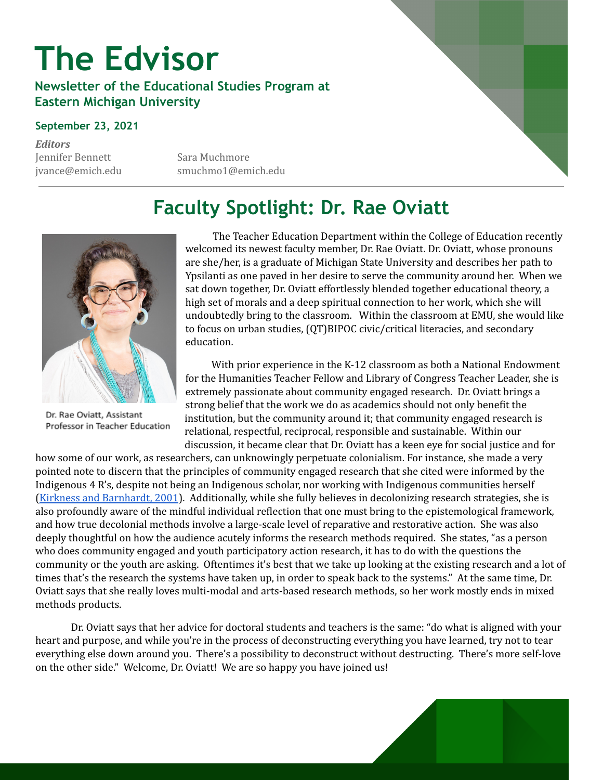# **The Edvisor**

#### **Newsletter of the Educational Studies Program at Eastern Michigan University**

#### **September 23, 2021**

*Editors* Jennifer Bennett Sara Muchmore

jvance@emich.edu smuchmo1@emich.edu

### **Faculty Spotlight: Dr. Rae Oviatt**



Dr. Rae Oviatt, Assistant Professor in Teacher Education

The Teacher Education Department within the College of Education recently welcomed its newest faculty member, Dr. Rae Oviatt. Dr. Oviatt, whose pronouns are she/her, is a graduate of Michigan State University and describes her path to Ypsilanti as one paved in her desire to serve the community around her. When we sat down together, Dr. Oviatt effortlessly blended together educational theory, a high set of morals and a deep spiritual connection to her work, which she will undoubtedly bring to the classroom. Within the classroom at EMU, she would like to focus on urban studies, (QT)BIPOC civic/critical literacies, and secondary education.

With prior experience in the K-12 classroom as both a National Endowment for the Humanities Teacher Fellow and Library of Congress Teacher Leader, she is extremely passionate about community engaged research. Dr. Oviatt brings a strong belief that the work we do as academics should not only benefit the institution, but the community around it; that community engaged research is relational, respectful, reciprocal, responsible and sustainable. Within our discussion, it became clear that Dr. Oviatt has a keen eye for social justice and for

how some of our work, as researchers, can unknowingly perpetuate colonialism. For instance, she made a very pointed note to discern that the principles of community engaged research that she cited were informed by the Indigenous 4 R's, despite not being an Indigenous scholar, nor working with Indigenous communities herself (Kirkness and [Barnhardt,](https://www.uaf.edu/ankn/publications/collective-works-of-ray-b/Four-Rs-2nd-Ed.pdf) 2001). Additionally, while she fully believes in decolonizing research strategies, she is also profoundly aware of the mindful individual reflection that one must bring to the epistemological framework, and how true decolonial methods involve a large-scale level of reparative and restorative action. She was also deeply thoughtful on how the audience acutely informs the research methods required. She states, "as a person who does community engaged and youth participatory action research, it has to do with the questions the community or the youth are asking. Oftentimes it's best that we take up looking at the existing research and a lot of times that's the research the systems have taken up, in order to speak back to the systems." At the same time, Dr. Oviatt says that she really loves multi-modal and arts-based research methods, so her work mostly ends in mixed methods products.

Dr. Oviatt says that her advice for doctoral students and teachers is the same: "do what is aligned with your heart and purpose, and while you're in the process of deconstructing everything you have learned, try not to tear everything else down around you. There's a possibility to deconstruct without destructing. There's more self-love on the other side." Welcome, Dr. Oviatt! We are so happy you have joined us!

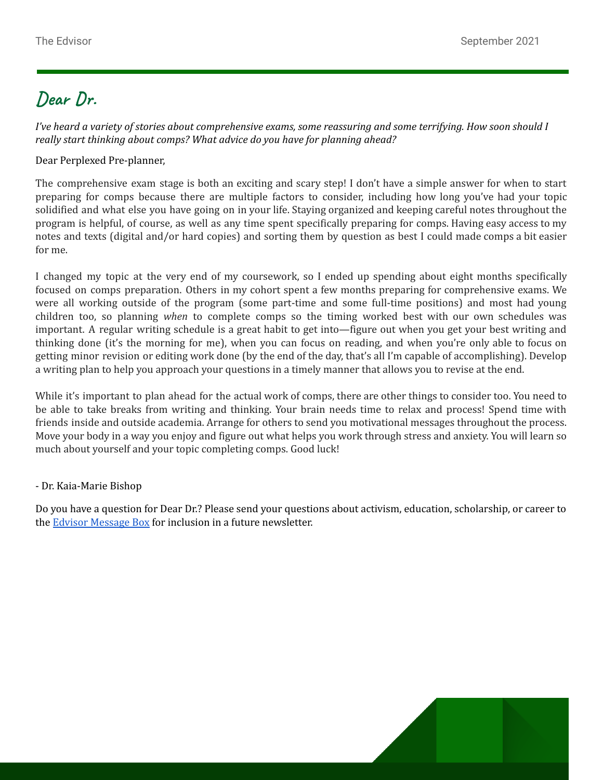### **Dear Dr.**

I've heard a variety of stories about comprehensive exams, some reassuring and some terrifying. How soon should I *really start thinking about comps? What advice do you have for planning ahead?*

Dear Perplexed Pre-planner,

The comprehensive exam stage is both an exciting and scary step! I don't have a simple answer for when to start preparing for comps because there are multiple factors to consider, including how long you've had your topic solidified and what else you have going on in your life. Staying organized and keeping careful notes throughout the program is helpful, of course, as well as any time spent specifically preparing for comps. Having easy access to my notes and texts (digital and/or hard copies) and sorting them by question as best I could made comps a bit easier for me.

I changed my topic at the very end of my coursework, so I ended up spending about eight months specifically focused on comps preparation. Others in my cohort spent a few months preparing for comprehensive exams. We were all working outside of the program (some part-time and some full-time positions) and most had young children too, so planning *when* to complete comps so the timing worked best with our own schedules was important. A regular writing schedule is a great habit to get into—figure out when you get your best writing and thinking done (it's the morning for me), when you can focus on reading, and when you're only able to focus on getting minor revision or editing work done (by the end of the day, that's all I'm capable of accomplishing). Develop a writing plan to help you approach your questions in a timely manner that allows you to revise at the end.

While it's important to plan ahead for the actual work of comps, there are other things to consider too. You need to be able to take breaks from writing and thinking. Your brain needs time to relax and process! Spend time with friends inside and outside academia. Arrange for others to send you motivational messages throughout the process. Move your body in a way you enjoy and figure out what helps you work through stress and anxiety. You will learn so much about yourself and your topic completing comps. Good luck!

#### - Dr. Kaia-Marie Bishop

Do you have a question for Dear Dr.? Please send your questions about activism, education, scholarship, or career to the Edvisor [Message](https://forms.gle/11yUgTDypqZhWndT7) Box for inclusion in a future newsletter.

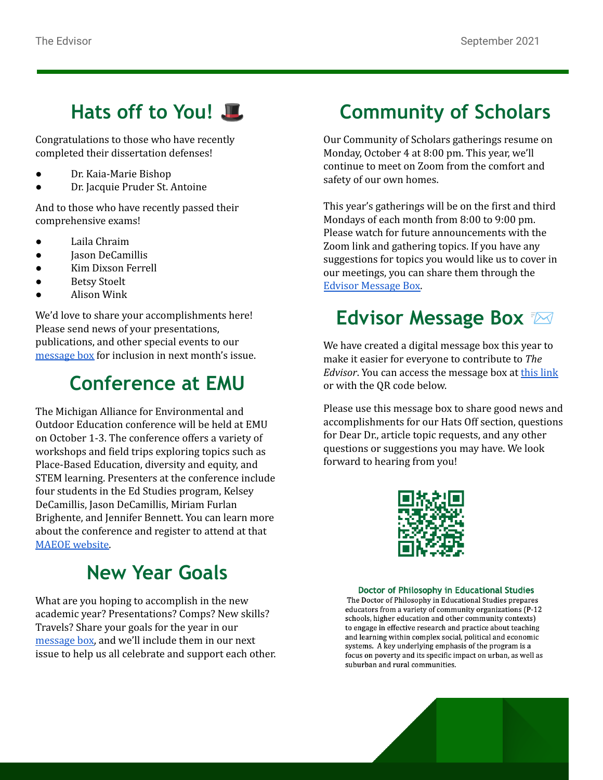#### **Hats off to You!**

Congratulations to those who have recently completed their dissertation defenses!

- Dr. Kaia-Marie Bishop
- Dr. Jacquie Pruder St. Antoine

And to those who have recently passed their comprehensive exams!

- Laila Chraim
- Jason DeCamillis
- Kim Dixson Ferrell
- **Betsy Stoelt**
- Alison Wink

We'd love to share your accomplishments here! Please send news of your presentations, publications, and other special events to our [message](https://forms.gle/ARPX1hqmUpBcYcvY8) box for inclusion in next month's issue.

### **Conference at EMU**

The Michigan Alliance for Environmental and Outdoor Education conference will be held at EMU on October 1-3. The conference offers a variety of workshops and field trips exploring topics such as Place-Based Education, diversity and equity, and STEM learning. Presenters at the conference include four students in the Ed Studies program, Kelsey DeCamillis, Jason DeCamillis, Miriam Furlan Brighente, and Jennifer Bennett. You can learn more about the conference and register to attend at that MAEOE [website.](https://www.maeoe.com/2021-eastern-michigan)

### **New Year Goals**

What are you hoping to accomplish in the new academic year? Presentations? Comps? New skills? Travels? Share your goals for the year in our [message](https://forms.gle/ZvLG83JzMnanLwiC7) box, and we'll include them in our next issue to help us all celebrate and support each other.

### **Community of Scholars**

Our Community of Scholars gatherings resume on Monday, October 4 at 8:00 pm. This year, we'll continue to meet on Zoom from the comfort and safety of our own homes.

This year's gatherings will be on the first and third Mondays of each month from 8:00 to 9:00 pm. Please watch for future announcements with the Zoom link and gathering topics. If you have any suggestions for topics you would like us to cover in our meetings, you can share them through the Edvisor [Message](https://docs.google.com/forms/d/e/1FAIpQLSeUcCY5GGbKKYOY1JIRiXBuSIOY4zJpWQsJG-mpbckQeDXafw/viewform?usp=sf_link) Box.

### **Edvisor Message Box**

We have created a digital message box this year to make it easier for everyone to contribute to *The Edvisor*. You can access the message box at this [link](https://forms.gle/16c3pmbFyL9nQQ4f9) or with the QR code below.

Please use this message box to share good news and accomplishments for our Hats Off section, questions for Dear Dr., article topic requests, and any other questions or suggestions you may have. We look forward to hearing from you!



#### Doctor of Philosophy in Educational Studies

The Doctor of Philosophy in Educational Studies prepares educators from a variety of community organizations (P-12 schools, higher education and other community contexts) to engage in effective research and practice about teaching and learning within complex social, political and economic systems. A key underlying emphasis of the program is a focus on poverty and its specific impact on urban, as well as suburban and rural communities.